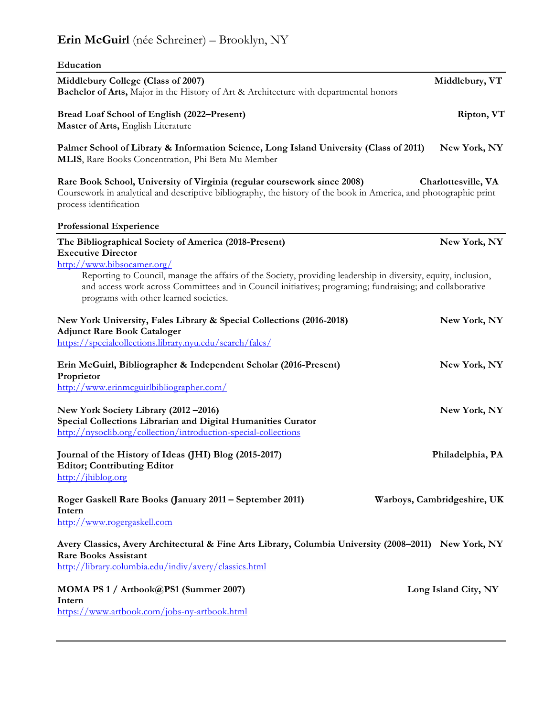# **Erin McGuirl** (née Schreiner) – Brooklyn, NY

| Education                                                                                                                                                                                                                                                            |                             |
|----------------------------------------------------------------------------------------------------------------------------------------------------------------------------------------------------------------------------------------------------------------------|-----------------------------|
| Middlebury College (Class of 2007)<br>Bachelor of Arts, Major in the History of Art & Architecture with departmental honors                                                                                                                                          | Middlebury, VT              |
| Bread Loaf School of English (2022–Present)<br>Master of Arts, English Literature                                                                                                                                                                                    | Ripton, VT                  |
| Palmer School of Library & Information Science, Long Island University (Class of 2011)<br>MLIS, Rare Books Concentration, Phi Beta Mu Member                                                                                                                         | New York, NY                |
| Rare Book School, University of Virginia (regular coursework since 2008)<br>Coursework in analytical and descriptive bibliography, the history of the book in America, and photographic print<br>process identification                                              | Charlottesville, VA         |
| <b>Professional Experience</b>                                                                                                                                                                                                                                       |                             |
| The Bibliographical Society of America (2018-Present)<br><b>Executive Director</b><br>http://www.bibsocamer.org/                                                                                                                                                     | New York, NY                |
| Reporting to Council, manage the affairs of the Society, providing leadership in diversity, equity, inclusion,<br>and access work across Committees and in Council initiatives; programing; fundraising; and collaborative<br>programs with other learned societies. |                             |
| New York University, Fales Library & Special Collections (2016-2018)<br><b>Adjunct Rare Book Cataloger</b><br>https://specialcollections.library.nyu.edu/search/fales/                                                                                               | New York, NY                |
| Erin McGuirl, Bibliographer & Independent Scholar (2016-Present)<br>Proprietor                                                                                                                                                                                       | New York, NY                |
| http://www.erinmcguirlbibliographer.com/<br>New York Society Library (2012-2016)<br>Special Collections Librarian and Digital Humanities Curator<br>http://nysoclib.org/collection/introduction-special-collections                                                  | New York, NY                |
| Journal of the History of Ideas (JHI) Blog (2015-2017)<br><b>Editor; Contributing Editor</b><br>http://jhiblog.org                                                                                                                                                   | Philadelphia, PA            |
| Roger Gaskell Rare Books (January 2011 – September 2011)<br>Intern<br>http://www.rogergaskell.com                                                                                                                                                                    | Warboys, Cambridgeshire, UK |
| Avery Classics, Avery Architectural & Fine Arts Library, Columbia University (2008–2011) New York, NY<br><b>Rare Books Assistant</b><br>http://library.columbia.edu/indiv/avery/classics.html                                                                        |                             |
| MOMA PS 1 / Artbook@PS1 (Summer 2007)<br>Intern                                                                                                                                                                                                                      | Long Island City, NY        |

https://www.artbook.com/jobs-ny-artbook.html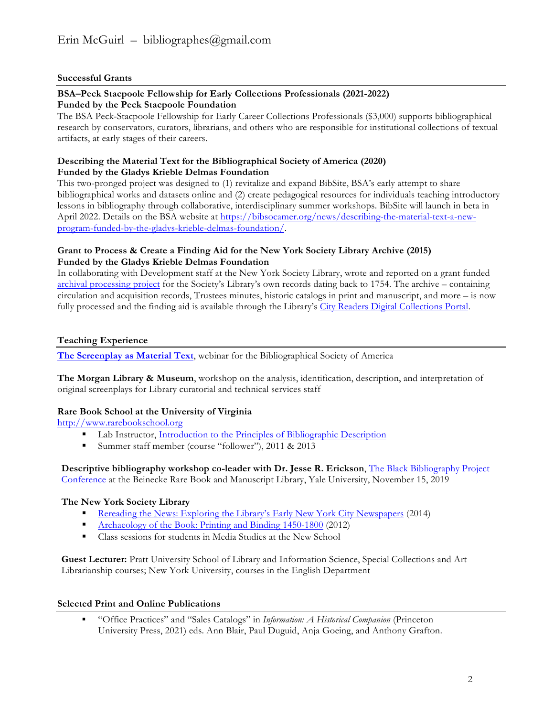#### **Successful Grants**

#### **BSA–Peck Stacpoole Fellowship for Early Collections Professionals (2021-2022) Funded by the Peck Stacpoole Foundation**

The BSA Peck-Stacpoole Fellowship for Early Career Collections Professionals (\$3,000) supports bibliographical research by conservators, curators, librarians, and others who are responsible for institutional collections of textual artifacts, at early stages of their careers.

#### **Describing the Material Text for the Bibliographical Society of America (2020) Funded by the Gladys Krieble Delmas Foundation**

This two-pronged project was designed to (1) revitalize and expand BibSite, BSA's early attempt to share bibliographical works and datasets online and (2) create pedagogical resources for individuals teaching introductory lessons in bibliography through collaborative, interdisciplinary summer workshops. BibSite will launch in beta in April 2022. Details on the BSA website at https://bibsocamer.org/news/describing-the-material-text-a-newprogram-funded-by-the-gladys-krieble-delmas-foundation/.

#### **Grant to Process & Create a Finding Aid for the New York Society Library Archive (2015) Funded by the Gladys Krieble Delmas Foundation**

In collaborating with Development staff at the New York Society Library, wrote and reported on a grant funded archival processing project for the Society's Library's own records dating back to 1754. The archive – containing circulation and acquisition records, Trustees minutes, historic catalogs in print and manuscript, and more – is now fully processed and the finding aid is available through the Library's City Readers Digital Collections Portal.

#### **Teaching Experience**

**The Screenplay as Material Text**, webinar for the Bibliographical Society of America

**The Morgan Library & Museum**, workshop on the analysis, identification, description, and interpretation of original screenplays for Library curatorial and technical services staff

## **Rare Book School at the University of Virginia**

http://www.rarebookschool.org

- Lab Instructor, Introduction to the Principles of Bibliographic Description
- Summer staff member (course "follower"), 2011 & 2013

**Descriptive bibliography workshop co-leader with Dr. Jesse R. Erickson**, The Black Bibliography Project Conference at the Beinecke Rare Book and Manuscript Library, Yale University, November 15, 2019

## **The New York Society Library**

- § Rereading the News: Exploring the Library's Early New York City Newspapers (2014)
- Archaeology of the Book: Printing and Binding 1450-1800 (2012)
- Class sessions for students in Media Studies at the New School

**Guest Lecturer:** Pratt University School of Library and Information Science, Special Collections and Art Librarianship courses; New York University, courses in the English Department

#### **Selected Print and Online Publications**

§ "Office Practices" and "Sales Catalogs" in *Information: A Historical Companion* (Princeton University Press, 2021) eds. Ann Blair, Paul Duguid, Anja Goeing, and Anthony Grafton.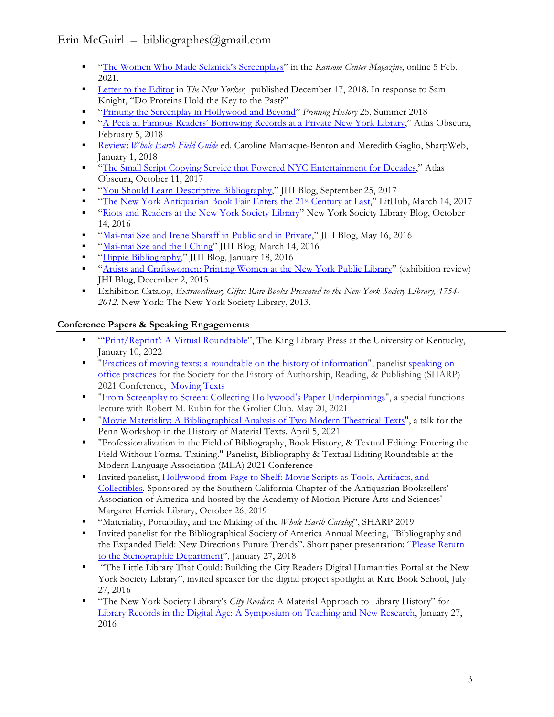## Erin McGuirl – bibliographes@gmail.com

- § "The Women Who Made Selznick's Screenplays" in the *Ransom Center Magazine*, online 5 Feb. 2021.
- § Letter to the Editor in *The New Yorker,* published December 17, 2018. In response to Sam Knight, "Do Proteins Hold the Key to the Past?"
- § "Printing the Screenplay in Hollywood and Beyond" *Printing History* 25, Summer 2018
- § "A Peek at Famous Readers' Borrowing Records at a Private New York Library," Atlas Obscura, February 5, 2018
- § Review: *Whole Earth Field Guide* ed. Caroline Maniaque-Benton and Meredith Gaglio, SharpWeb, January 1, 2018
- § "The Small Script Copying Service that Powered NYC Entertainment for Decades," Atlas Obscura, October 11, 2017
- § "You Should Learn Descriptive Bibliography," JHI Blog, September 25, 2017
- § "The New York Antiquarian Book Fair Enters the 21st Century at Last," LitHub, March 14, 2017
- § "Riots and Readers at the New York Society Library" New York Society Library Blog, October 14, 2016
- § "Mai-mai Sze and Irene Sharaff in Public and in Private," JHI Blog, May 16, 2016
- § "Mai-mai Sze and the I Ching" JHI Blog, March 14, 2016
- § "Hippie Bibliography," JHI Blog, January 18, 2016
- § "Artists and Craftswomen: Printing Women at the New York Public Library" (exhibition review) JHI Blog, December 2, 2015
- § Exhibition Catalog, *Extraordinary Gifts: Rare Books Presented to the New York Society Library, 1754- 2012*. New York: The New York Society Library, 2013.

## **Conference Papers & Speaking Engagements**

- § "'Print/Reprint': A Virtual Roundtable", The King Library Press at the University of Kentucky, January 10, 2022
- "Practices of moving texts: a roundtable on the history of information", panelist speaking on office practices for the Society for the Fistory of Authorship, Reading, & Publishing (SHARP) 2021 Conference, Moving Texts
- § "From Screenplay to Screen: Collecting Hollywood's Paper Underpinnings", a special functions lecture with Robert M. Rubin for the Grolier Club. May 20, 2021
- § "Movie Materiality: A Bibliographical Analysis of Two Modern Theatrical Texts", a talk for the Penn Workshop in the History of Material Texts. April 5, 2021
- § "Professionalization in the Field of Bibliography, Book History, & Textual Editing: Entering the Field Without Formal Training." Panelist, Bibliography & Textual Editing Roundtable at the Modern Language Association (MLA) 2021 Conference
- **•** Invited panelist, Hollywood from Page to Shelf: Movie Scripts as Tools, Artifacts, and Collectibles. Sponsored by the Southern California Chapter of the Antiquarian Booksellers' Association of America and hosted by the Academy of Motion Picture Arts and Sciences' Margaret Herrick Library, October 26, 2019
- § "Materiality, Portability, and the Making of the *Whole Earth Catalog*", SHARP 2019
- § Invited panelist for the Bibliographical Society of America Annual Meeting, "Bibliography and the Expanded Field: New Directions Future Trends". Short paper presentation: "Please Return to the Stenographic Department", January 27, 2018
- § "The Little Library That Could: Building the City Readers Digital Humanities Portal at the New York Society Library", invited speaker for the digital project spotlight at Rare Book School, July 27, 2016
- § "The New York Society Library's *City Readers*: A Material Approach to Library History" for Library Records in the Digital Age: A Symposium on Teaching and New Research, January 27, 2016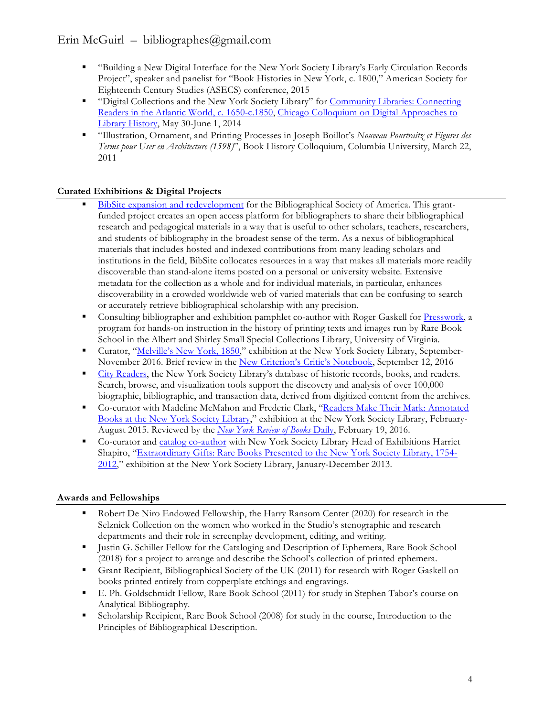## Erin McGuirl – bibliographes@gmail.com

- § "Building a New Digital Interface for the New York Society Library's Early Circulation Records Project", speaker and panelist for "Book Histories in New York, c. 1800," American Society for Eighteenth Century Studies (ASECS) conference, 2015
- § "Digital Collections and the New York Society Library" for Community Libraries: Connecting Readers in the Atlantic World, c. 1650-c.1850, Chicago Colloquium on Digital Approaches to Library History, May 30-June 1, 2014
- § "Illustration, Ornament, and Printing Processes in Joseph Boillot's *Nouveau Pourtraitz et Figures des Terms pour User en Architecture (1598)*", Book History Colloquium, Columbia University, March 22, 2011

## **Curated Exhibitions & Digital Projects**

- BibSite expansion and redevelopment for the Bibliographical Society of America. This grantfunded project creates an open access platform for bibliographers to share their bibliographical research and pedagogical materials in a way that is useful to other scholars, teachers, researchers, and students of bibliography in the broadest sense of the term. As a nexus of bibliographical materials that includes hosted and indexed contributions from many leading scholars and institutions in the field, BibSite collocates resources in a way that makes all materials more readily discoverable than stand-alone items posted on a personal or university website. Extensive metadata for the collection as a whole and for individual materials, in particular, enhances discoverability in a crowded worldwide web of varied materials that can be confusing to search or accurately retrieve bibliographical scholarship with any precision.
- Consulting bibliographer and exhibition pamphlet co-author with Roger Gaskell for Presswork, a program for hands-on instruction in the history of printing texts and images run by Rare Book School in the Albert and Shirley Small Special Collections Library, University of Virginia.
- § Curator, "Melville's New York, 1850," exhibition at the New York Society Library, September-November 2016. Brief review in the New Criterion's Critic's Notebook, September 12, 2016
- <sup>■</sup> City Readers, the New York Society Library's database of historic records, books, and readers. Search, browse, and visualization tools support the discovery and analysis of over 100,000 biographic, bibliographic, and transaction data, derived from digitized content from the archives.
- § Co-curator with Madeline McMahon and Frederic Clark, "Readers Make Their Mark: Annotated Books at the New York Society Library," exhibition at the New York Society Library, February-August 2015. Reviewed by the *New York Review of Books* Daily, February 19, 2016.
- Co-curator and catalog co-author with New York Society Library Head of Exhibitions Harriet Shapiro, "Extraordinary Gifts: Rare Books Presented to the New York Society Library, 1754- 2012," exhibition at the New York Society Library, January-December 2013.

## **Awards and Fellowships**

- Robert De Niro Endowed Fellowship, the Harry Ransom Center (2020) for research in the Selznick Collection on the women who worked in the Studio's stenographic and research departments and their role in screenplay development, editing, and writing.
- § Justin G. Schiller Fellow for the Cataloging and Description of Ephemera, Rare Book School (2018) for a project to arrange and describe the School's collection of printed ephemera.
- Grant Recipient, Bibliographical Society of the UK (2011) for research with Roger Gaskell on books printed entirely from copperplate etchings and engravings.
- § E. Ph. Goldschmidt Fellow, Rare Book School (2011) for study in Stephen Tabor's course on Analytical Bibliography.
- § Scholarship Recipient, Rare Book School (2008) for study in the course, Introduction to the Principles of Bibliographical Description.